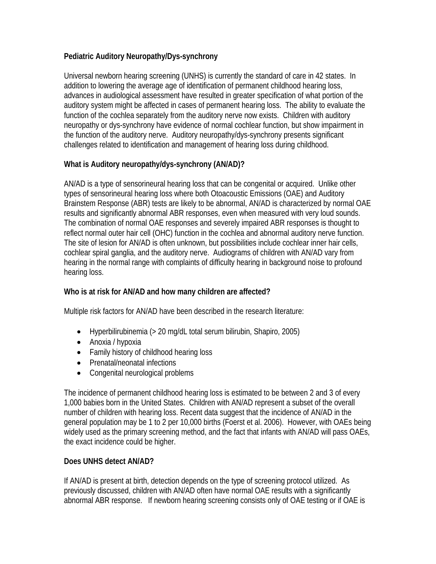## **Pediatric Auditory Neuropathy/Dys-synchrony**

Universal newborn hearing screening (UNHS) is currently the standard of care in 42 states. In addition to lowering the average age of identification of permanent childhood hearing loss, advances in audiological assessment have resulted in greater specification of what portion of the auditory system might be affected in cases of permanent hearing loss. The ability to evaluate the function of the cochlea separately from the auditory nerve now exists. Children with auditory neuropathy or dys-synchrony have evidence of normal cochlear function, but show impairment in the function of the auditory nerve. Auditory neuropathy/dys-synchrony presents significant challenges related to identification and management of hearing loss during childhood.

## **What is Auditory neuropathy/dys-synchrony (AN/AD)?**

AN/AD is a type of sensorineural hearing loss that can be congenital or acquired. Unlike other types of sensorineural hearing loss where both Otoacoustic Emissions (OAE) and Auditory Brainstem Response (ABR) tests are likely to be abnormal, AN/AD is characterized by normal OAE results and significantly abnormal ABR responses, even when measured with very loud sounds. The combination of normal OAE responses and severely impaired ABR responses is thought to reflect normal outer hair cell (OHC) function in the cochlea and abnormal auditory nerve function. The site of lesion for AN/AD is often unknown, but possibilities include cochlear inner hair cells, cochlear spiral ganglia, and the auditory nerve. Audiograms of children with AN/AD vary from hearing in the normal range with complaints of difficulty hearing in background noise to profound hearing loss.

## **Who is at risk for AN/AD and how many children are affected?**

Multiple risk factors for AN/AD have been described in the research literature:

- Hyperbilirubinemia (> 20 mg/dL total serum bilirubin, Shapiro, 2005)
- Anoxia / hypoxia
- Family history of childhood hearing loss
- Prenatal/neonatal infections
- Congenital neurological problems

The incidence of permanent childhood hearing loss is estimated to be between 2 and 3 of every 1,000 babies born in the United States. Children with AN/AD represent a subset of the overall number of children with hearing loss. Recent data suggest that the incidence of AN/AD in the general population may be 1 to 2 per 10,000 births (Foerst et al. 2006). However, with OAEs being widely used as the primary screening method, and the fact that infants with AN/AD will pass OAEs, the exact incidence could be higher.

#### **Does UNHS detect AN/AD?**

If AN/AD is present at birth, detection depends on the type of screening protocol utilized. As previously discussed, children with AN/AD often have normal OAE results with a significantly abnormal ABR response. If newborn hearing screening consists only of OAE testing or if OAE is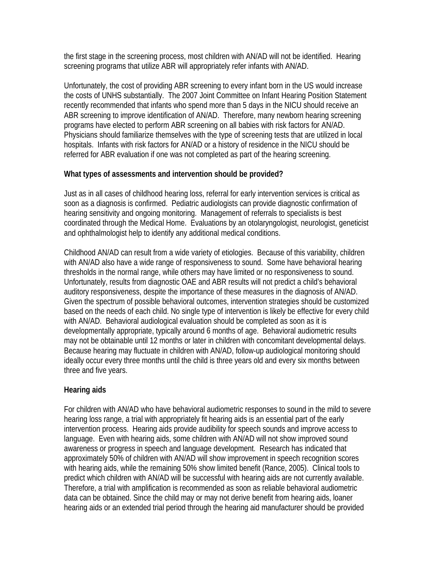the first stage in the screening process, most children with AN/AD will not be identified. Hearing screening programs that utilize ABR will appropriately refer infants with AN/AD.

Unfortunately, the cost of providing ABR screening to every infant born in the US would increase the costs of UNHS substantially. The 2007 Joint Committee on Infant Hearing Position Statement recently recommended that infants who spend more than 5 days in the NICU should receive an ABR screening to improve identification of AN/AD. Therefore, many newborn hearing screening programs have elected to perform ABR screening on all babies with risk factors for AN/AD. Physicians should familiarize themselves with the type of screening tests that are utilized in local hospitals. Infants with risk factors for AN/AD or a history of residence in the NICU should be referred for ABR evaluation if one was not completed as part of the hearing screening.

## **What types of assessments and intervention should be provided?**

Just as in all cases of childhood hearing loss, referral for early intervention services is critical as soon as a diagnosis is confirmed. Pediatric audiologists can provide diagnostic confirmation of hearing sensitivity and ongoing monitoring. Management of referrals to specialists is best coordinated through the Medical Home. Evaluations by an otolaryngologist, neurologist, geneticist and ophthalmologist help to identify any additional medical conditions.

Childhood AN/AD can result from a wide variety of etiologies. Because of this variability, children with AN/AD also have a wide range of responsiveness to sound. Some have behavioral hearing thresholds in the normal range, while others may have limited or no responsiveness to sound. Unfortunately, results from diagnostic OAE and ABR results will not predict a child's behavioral auditory responsiveness, despite the importance of these measures in the diagnosis of AN/AD. Given the spectrum of possible behavioral outcomes, intervention strategies should be customized based on the needs of each child. No single type of intervention is likely be effective for every child with AN/AD. Behavioral audiological evaluation should be completed as soon as it is developmentally appropriate, typically around 6 months of age. Behavioral audiometric results may not be obtainable until 12 months or later in children with concomitant developmental delays. Because hearing may fluctuate in children with AN/AD, follow-up audiological monitoring should ideally occur every three months until the child is three years old and every six months between three and five years.

# **Hearing aids**

For children with AN/AD who have behavioral audiometric responses to sound in the mild to severe hearing loss range, a trial with appropriately fit hearing aids is an essential part of the early intervention process. Hearing aids provide audibility for speech sounds and improve access to language. Even with hearing aids, some children with AN/AD will not show improved sound awareness or progress in speech and language development. Research has indicated that approximately 50% of children with AN/AD will show improvement in speech recognition scores with hearing aids, while the remaining 50% show limited benefit (Rance, 2005). Clinical tools to predict which children with AN/AD will be successful with hearing aids are not currently available. Therefore, a trial with amplification is recommended as soon as reliable behavioral audiometric data can be obtained. Since the child may or may not derive benefit from hearing aids, loaner hearing aids or an extended trial period through the hearing aid manufacturer should be provided